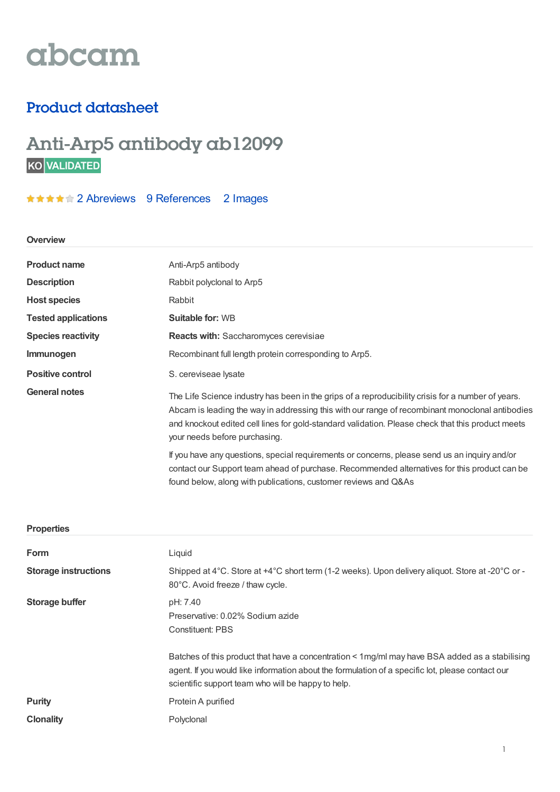## abcam

### Product datasheet

# Anti-Arp5 antibody ab12099

**★★★★★ 2 [Abreviews](https://www.abcam.com/arp5-antibody-ab12099.html?productWallTab=Abreviews) 9 [References](https://www.abcam.com/arp5-antibody-ab12099.html#description_references) 2 Images** 

#### **Overview**

| <b>Product name</b>         | Anti-Arp5 antibody                                                                                                                                                                                                                                                                                                                          |  |
|-----------------------------|---------------------------------------------------------------------------------------------------------------------------------------------------------------------------------------------------------------------------------------------------------------------------------------------------------------------------------------------|--|
| <b>Description</b>          | Rabbit polyclonal to Arp5                                                                                                                                                                                                                                                                                                                   |  |
| <b>Host species</b>         | Rabbit                                                                                                                                                                                                                                                                                                                                      |  |
| <b>Tested applications</b>  | <b>Suitable for: WB</b>                                                                                                                                                                                                                                                                                                                     |  |
| <b>Species reactivity</b>   | Reacts with: Saccharomyces cerevisiae                                                                                                                                                                                                                                                                                                       |  |
| <b>Immunogen</b>            | Recombinant full length protein corresponding to Arp5.                                                                                                                                                                                                                                                                                      |  |
| <b>Positive control</b>     | S. cereviseae lysate                                                                                                                                                                                                                                                                                                                        |  |
| <b>General notes</b>        | The Life Science industry has been in the grips of a reproducibility crisis for a number of years.<br>Abcam is leading the way in addressing this with our range of recombinant monoclonal antibodies<br>and knockout edited cell lines for gold-standard validation. Please check that this product meets<br>your needs before purchasing. |  |
|                             | If you have any questions, special requirements or concerns, please send us an inquiry and/or<br>contact our Support team ahead of purchase. Recommended alternatives for this product can be<br>found below, along with publications, customer reviews and Q&As                                                                            |  |
|                             |                                                                                                                                                                                                                                                                                                                                             |  |
| <b>Properties</b>           |                                                                                                                                                                                                                                                                                                                                             |  |
| Form                        | Liquid                                                                                                                                                                                                                                                                                                                                      |  |
| <b>Storage instructions</b> | Shipped at 4°C. Store at +4°C short term (1-2 weeks). Upon delivery aliquot. Store at -20°C or -<br>80°C. Avoid freeze / thaw cycle.                                                                                                                                                                                                        |  |
| <b>Storage buffer</b>       | pH: 7.40<br>Preservative: 0.02% Sodium azide<br><b>Constituent: PBS</b>                                                                                                                                                                                                                                                                     |  |
|                             | Batches of this product that have a concentration < 1mg/ml may have BSA added as a stabilising<br>agent. If you would like information about the formulation of a specific lot, please contact our<br>scientific support team who will be happy to help.                                                                                    |  |
| <b>Purity</b>               | Protein A purified                                                                                                                                                                                                                                                                                                                          |  |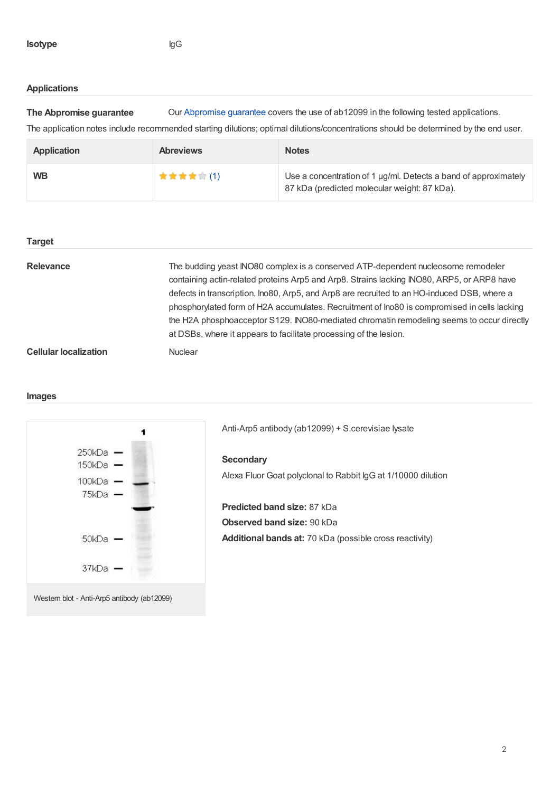#### **Applications**

**The Abpromise guarantee** Our [Abpromise](https://www.abcam.com/abpromise) guarantee covers the use of ab12099 in the following tested applications. The application notes include recommended starting dilutions; optimal dilutions/concentrations should be determined by the end user.

| <b>Application</b> | <b>Abreviews</b> | <b>Notes</b>                                                                                                    |
|--------------------|------------------|-----------------------------------------------------------------------------------------------------------------|
| <b>WB</b>          | ★★★★★(1)         | Use a concentration of 1 µg/ml. Detects a band of approximately<br>87 kDa (predicted molecular weight: 87 kDa). |

| ×<br>×<br>۰ |
|-------------|
|-------------|

| <b>Relevance</b>             | The budding yeast INO80 complex is a conserved ATP-dependent nucleosome remodeler            |
|------------------------------|----------------------------------------------------------------------------------------------|
|                              | containing actin-related proteins Arp5 and Arp8. Strains lacking INO80, ARP5, or ARP8 have   |
|                              | defects in transcription. Ino80, Arp5, and Arp8 are recruited to an HO-induced DSB, where a  |
|                              | phosphorylated form of H2A accumulates. Recruitment of lno80 is compromised in cells lacking |
|                              | the H2A phosphoacceptor S129. INO80-mediated chromatin remodeling seems to occur directly    |
|                              | at DSBs, where it appears to facilitate processing of the lesion.                            |
| <b>Cellular localization</b> | Nuclear                                                                                      |

#### **Images**



Anti-Arp5 antibody (ab12099) + S.cerevisiae lysate

#### **Secondary**

Alexa Fluor Goat polyclonal to Rabbit IgG at 1/10000 dilution

**Predicted band size:** 87 kDa **Observed band size:** 90 kDa **Additional bands at:** 70 kDa (possible cross reactivity)